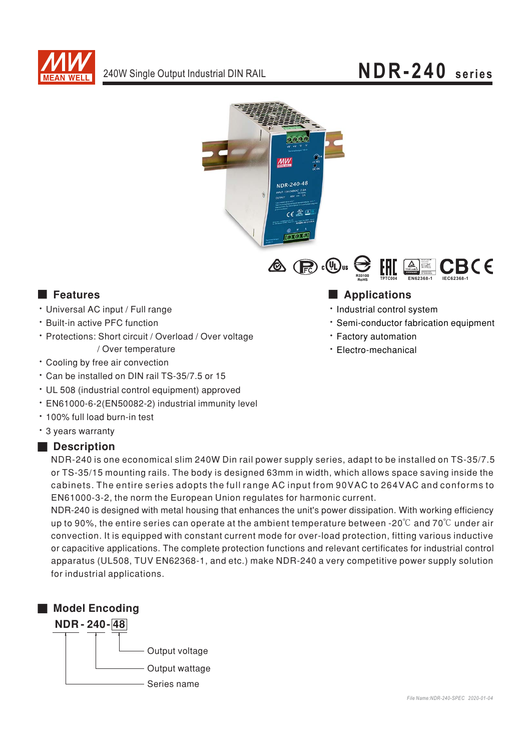

# NDR-240 series





### **Executer** Features

- · Universal AC input / Full range
- \* Built-in active PFC function
- · Protections: Short circuit / Overload / Over voltage / Over temperature
- Cooling by free air convection
- \* Can be installed on DIN rail TS-35/7.5 or 15
- UL 508 (industrial control equipment) approved
- · EN61000-6-2(EN50082-2) industrial immunity level
- . 100% full load burn-in test
- \* 3 years warranty

### Description

NDR-240 is one economical slim 240W Din rail power supply series, adapt to be installed on TS-35/7.5 or TS-35/15 mounting rails. The body is designed 63mm in width, which allows space saving inside the cabinets. The entire series adopts the full range AC input from 90VAC to 264VAC and conforms to EN61000-3-2, the norm the European Union regulates for harmonic current.

NDR-240 is designed with metal housing that enhances the unit's power dissipation. With working efficiency up to 90%, the entire series can operate at the ambient temperature between -20 $\degree$ C and 70 $\degree$ C under air convection. It is equipped with constant current mode for over-load protection, fitting various inductive or capacitive applications. The complete protection functions and relevant certificates for industrial control apparatus (UL508, TUV EN62368-1, and etc.) make NDR-240 a very competitive power supply solution for industrial applications.



## Applications

- · Industrial control system
- · Semi-conductor fabrication equipment
- · Factory automation
- · Electro-mechanical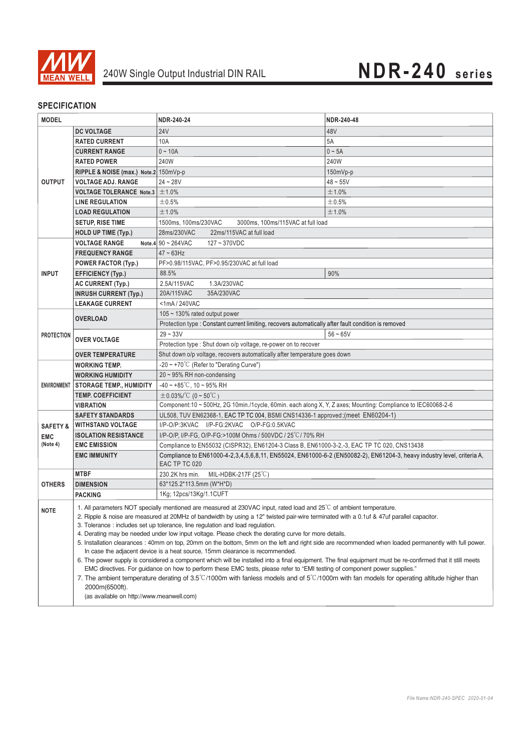

### **SPECIFICATION**

| <b>MODEL</b>        |                                                                                                                                                                                                                                                                                                                                                                                                                                                                                                                                                                                                                                                                                                                                                                                                                                                                                                                                                                                                                                                                                                                                                                        | NDR-240-24                                                                                                                              | NDR-240-48  |
|---------------------|------------------------------------------------------------------------------------------------------------------------------------------------------------------------------------------------------------------------------------------------------------------------------------------------------------------------------------------------------------------------------------------------------------------------------------------------------------------------------------------------------------------------------------------------------------------------------------------------------------------------------------------------------------------------------------------------------------------------------------------------------------------------------------------------------------------------------------------------------------------------------------------------------------------------------------------------------------------------------------------------------------------------------------------------------------------------------------------------------------------------------------------------------------------------|-----------------------------------------------------------------------------------------------------------------------------------------|-------------|
|                     | <b>DC VOLTAGE</b>                                                                                                                                                                                                                                                                                                                                                                                                                                                                                                                                                                                                                                                                                                                                                                                                                                                                                                                                                                                                                                                                                                                                                      | <b>24V</b>                                                                                                                              | 48V         |
| <b>OUTPUT</b>       | <b>RATED CURRENT</b>                                                                                                                                                                                                                                                                                                                                                                                                                                                                                                                                                                                                                                                                                                                                                                                                                                                                                                                                                                                                                                                                                                                                                   | 10A                                                                                                                                     | 5A          |
|                     | <b>CURRENT RANGE</b>                                                                                                                                                                                                                                                                                                                                                                                                                                                                                                                                                                                                                                                                                                                                                                                                                                                                                                                                                                                                                                                                                                                                                   | $0 - 10A$                                                                                                                               | $0 \sim 5A$ |
|                     | <b>RATED POWER</b>                                                                                                                                                                                                                                                                                                                                                                                                                                                                                                                                                                                                                                                                                                                                                                                                                                                                                                                                                                                                                                                                                                                                                     | 240W                                                                                                                                    | 240W        |
|                     | RIPPLE & NOISE (max.) Note.2 150mVp-p                                                                                                                                                                                                                                                                                                                                                                                                                                                                                                                                                                                                                                                                                                                                                                                                                                                                                                                                                                                                                                                                                                                                  |                                                                                                                                         | 150mVp-p    |
|                     | <b>VOLTAGE ADJ. RANGE</b>                                                                                                                                                                                                                                                                                                                                                                                                                                                                                                                                                                                                                                                                                                                                                                                                                                                                                                                                                                                                                                                                                                                                              | $24 - 28V$                                                                                                                              | $48 - 55V$  |
|                     | VOLTAGE TOLERANCE Note.3 $\pm$ 1.0%                                                                                                                                                                                                                                                                                                                                                                                                                                                                                                                                                                                                                                                                                                                                                                                                                                                                                                                                                                                                                                                                                                                                    |                                                                                                                                         | ±1.0%       |
|                     | <b>LINE REGULATION</b>                                                                                                                                                                                                                                                                                                                                                                                                                                                                                                                                                                                                                                                                                                                                                                                                                                                                                                                                                                                                                                                                                                                                                 | ±0.5%                                                                                                                                   | ±0.5%       |
|                     | <b>LOAD REGULATION</b>                                                                                                                                                                                                                                                                                                                                                                                                                                                                                                                                                                                                                                                                                                                                                                                                                                                                                                                                                                                                                                                                                                                                                 | ±1.0%                                                                                                                                   | ±1.0%       |
|                     | <b>SETUP, RISE TIME</b>                                                                                                                                                                                                                                                                                                                                                                                                                                                                                                                                                                                                                                                                                                                                                                                                                                                                                                                                                                                                                                                                                                                                                | 1500ms, 100ms/230VAC<br>3000ms, 100ms/115VAC at full load                                                                               |             |
|                     | <b>HOLD UP TIME (Typ.)</b>                                                                                                                                                                                                                                                                                                                                                                                                                                                                                                                                                                                                                                                                                                                                                                                                                                                                                                                                                                                                                                                                                                                                             | 22ms/115VAC at full load<br>28ms/230VAC                                                                                                 |             |
|                     | <b>VOLTAGE RANGE</b>                                                                                                                                                                                                                                                                                                                                                                                                                                                                                                                                                                                                                                                                                                                                                                                                                                                                                                                                                                                                                                                                                                                                                   | Note.4 90 ~ 264VAC<br>$127 - 370VDC$                                                                                                    |             |
| <b>INPUT</b>        | <b>FREQUENCY RANGE</b>                                                                                                                                                                                                                                                                                                                                                                                                                                                                                                                                                                                                                                                                                                                                                                                                                                                                                                                                                                                                                                                                                                                                                 | $47 \sim 63$ Hz                                                                                                                         |             |
|                     | POWER FACTOR (Typ.)                                                                                                                                                                                                                                                                                                                                                                                                                                                                                                                                                                                                                                                                                                                                                                                                                                                                                                                                                                                                                                                                                                                                                    | PF>0.98/115VAC, PF>0.95/230VAC at full load                                                                                             |             |
|                     | <b>EFFICIENCY (Typ.)</b>                                                                                                                                                                                                                                                                                                                                                                                                                                                                                                                                                                                                                                                                                                                                                                                                                                                                                                                                                                                                                                                                                                                                               | 88.5%                                                                                                                                   | 90%         |
|                     | <b>AC CURRENT (Typ.)</b>                                                                                                                                                                                                                                                                                                                                                                                                                                                                                                                                                                                                                                                                                                                                                                                                                                                                                                                                                                                                                                                                                                                                               | 1.3A/230VAC<br>2.5A/115VAC                                                                                                              |             |
|                     | <b>INRUSH CURRENT (Typ.)</b>                                                                                                                                                                                                                                                                                                                                                                                                                                                                                                                                                                                                                                                                                                                                                                                                                                                                                                                                                                                                                                                                                                                                           | 20A/115VAC<br>35A/230VAC                                                                                                                |             |
|                     | <b>LEAKAGE CURRENT</b>                                                                                                                                                                                                                                                                                                                                                                                                                                                                                                                                                                                                                                                                                                                                                                                                                                                                                                                                                                                                                                                                                                                                                 | <1mA/240VAC                                                                                                                             |             |
| <b>PROTECTION</b>   | <b>OVERLOAD</b>                                                                                                                                                                                                                                                                                                                                                                                                                                                                                                                                                                                                                                                                                                                                                                                                                                                                                                                                                                                                                                                                                                                                                        | 105 ~ 130% rated output power                                                                                                           |             |
|                     |                                                                                                                                                                                                                                                                                                                                                                                                                                                                                                                                                                                                                                                                                                                                                                                                                                                                                                                                                                                                                                                                                                                                                                        | Protection type : Constant current limiting, recovers automatically after fault condition is removed                                    |             |
|                     | <b>OVER VOLTAGE</b>                                                                                                                                                                                                                                                                                                                                                                                                                                                                                                                                                                                                                                                                                                                                                                                                                                                                                                                                                                                                                                                                                                                                                    | $29 - 33V$                                                                                                                              | $56 - 65V$  |
|                     |                                                                                                                                                                                                                                                                                                                                                                                                                                                                                                                                                                                                                                                                                                                                                                                                                                                                                                                                                                                                                                                                                                                                                                        | Protection type : Shut down o/p voltage, re-power on to recover                                                                         |             |
|                     | <b>OVER TEMPERATURE</b>                                                                                                                                                                                                                                                                                                                                                                                                                                                                                                                                                                                                                                                                                                                                                                                                                                                                                                                                                                                                                                                                                                                                                | Shut down o/p voltage, recovers automatically after temperature goes down                                                               |             |
|                     | <b>WORKING TEMP.</b>                                                                                                                                                                                                                                                                                                                                                                                                                                                                                                                                                                                                                                                                                                                                                                                                                                                                                                                                                                                                                                                                                                                                                   | -20 ~ +70 $^{\circ}$ C (Refer to "Derating Curve")                                                                                      |             |
| <b>ENVIRONMENT</b>  | <b>WORKING HUMIDITY</b>                                                                                                                                                                                                                                                                                                                                                                                                                                                                                                                                                                                                                                                                                                                                                                                                                                                                                                                                                                                                                                                                                                                                                | $20 \sim 95\%$ RH non-condensing                                                                                                        |             |
|                     | <b>STORAGE TEMP., HUMIDITY</b>                                                                                                                                                                                                                                                                                                                                                                                                                                                                                                                                                                                                                                                                                                                                                                                                                                                                                                                                                                                                                                                                                                                                         | $-40 \sim +85^{\circ}$ C, 10 ~ 95% RH                                                                                                   |             |
|                     | <b>TEMP. COEFFICIENT</b>                                                                                                                                                                                                                                                                                                                                                                                                                                                                                                                                                                                                                                                                                                                                                                                                                                                                                                                                                                                                                                                                                                                                               | $\pm$ 0.03%/°C (0 ~ 50°C)                                                                                                               |             |
|                     | VIBRATION                                                                                                                                                                                                                                                                                                                                                                                                                                                                                                                                                                                                                                                                                                                                                                                                                                                                                                                                                                                                                                                                                                                                                              | Component:10 ~ 500Hz, 2G 10min./1cycle, 60min. each along X, Y, Z axes; Mounting: Compliance to IEC60068-2-6                            |             |
|                     | <b>SAFETY STANDARDS</b>                                                                                                                                                                                                                                                                                                                                                                                                                                                                                                                                                                                                                                                                                                                                                                                                                                                                                                                                                                                                                                                                                                                                                | UL508, TUV EN62368-1, EAC TP TC 004, BSMI CNS14336-1 approved; (meet EN60204-1)                                                         |             |
| <b>SAFETY &amp;</b> | <b>WITHSTAND VOLTAGE</b>                                                                                                                                                                                                                                                                                                                                                                                                                                                                                                                                                                                                                                                                                                                                                                                                                                                                                                                                                                                                                                                                                                                                               | I/P-O/P:3KVAC I/P-FG:2KVAC O/P-FG:0.5KVAC                                                                                               |             |
| <b>EMC</b>          | <b>ISOLATION RESISTANCE</b>                                                                                                                                                                                                                                                                                                                                                                                                                                                                                                                                                                                                                                                                                                                                                                                                                                                                                                                                                                                                                                                                                                                                            | I/P-O/P, I/P-FG, O/P-FG:>100M Ohms / 500VDC / 25°C/ 70% RH                                                                              |             |
| (Note 4)            | <b>EMC EMISSION</b>                                                                                                                                                                                                                                                                                                                                                                                                                                                                                                                                                                                                                                                                                                                                                                                                                                                                                                                                                                                                                                                                                                                                                    | Compliance to EN55032 (CISPR32), EN61204-3 Class B, EN61000-3-2,-3, EAC TP TC 020, CNS13438                                             |             |
|                     | <b>EMC IMMUNITY</b>                                                                                                                                                                                                                                                                                                                                                                                                                                                                                                                                                                                                                                                                                                                                                                                                                                                                                                                                                                                                                                                                                                                                                    | Compliance to EN61000-4-2,3,4,5,6,8,11, EN55024, EN61000-6-2 (EN50082-2), EN61204-3, heavy industry level, criteria A,<br>EAC TP TC 020 |             |
|                     | <b>MTBF</b>                                                                                                                                                                                                                                                                                                                                                                                                                                                                                                                                                                                                                                                                                                                                                                                                                                                                                                                                                                                                                                                                                                                                                            | MIL-HDBK-217F (25°C)<br>230.2K hrs min.                                                                                                 |             |
| <b>OTHERS</b>       | <b>DIMENSION</b>                                                                                                                                                                                                                                                                                                                                                                                                                                                                                                                                                                                                                                                                                                                                                                                                                                                                                                                                                                                                                                                                                                                                                       | 63*125.2*113.5mm (W*H*D)                                                                                                                |             |
|                     | <b>PACKING</b>                                                                                                                                                                                                                                                                                                                                                                                                                                                                                                                                                                                                                                                                                                                                                                                                                                                                                                                                                                                                                                                                                                                                                         | 1Kg; 12pcs/13Kg/1.1CUFT                                                                                                                 |             |
| <b>NOTE</b>         | 1. All parameters NOT specially mentioned are measured at 230VAC input, rated load and $25^{\circ}$ C of ambient temperature.<br>2. Ripple & noise are measured at 20MHz of bandwidth by using a 12" twisted pair-wire terminated with a 0.1uf & 47uf parallel capacitor.<br>3. Tolerance: includes set up tolerance, line regulation and load regulation.<br>4. Derating may be needed under low input voltage. Please check the derating curve for more details.<br>5. Installation clearances: 40mm on top, 20mm on the bottom, 5mm on the left and right side are recommended when loaded permanently with full power.<br>In case the adjacent device is a heat source, 15mm clearance is recommended.<br>6. The power supply is considered a component which will be installed into a final equipment. The final equipment must be re-confirmed that it still meets<br>EMC directives. For guidance on how to perform these EMC tests, please refer to "EMI testing of component power supplies."<br>7. The ambient temperature derating of 3.5°C/1000m with fanless models and of 5°C/1000m with fan models for operating altitude higher than<br>2000m(6500ft). |                                                                                                                                         |             |
|                     | (as available on http://www.meanwell.com)                                                                                                                                                                                                                                                                                                                                                                                                                                                                                                                                                                                                                                                                                                                                                                                                                                                                                                                                                                                                                                                                                                                              |                                                                                                                                         |             |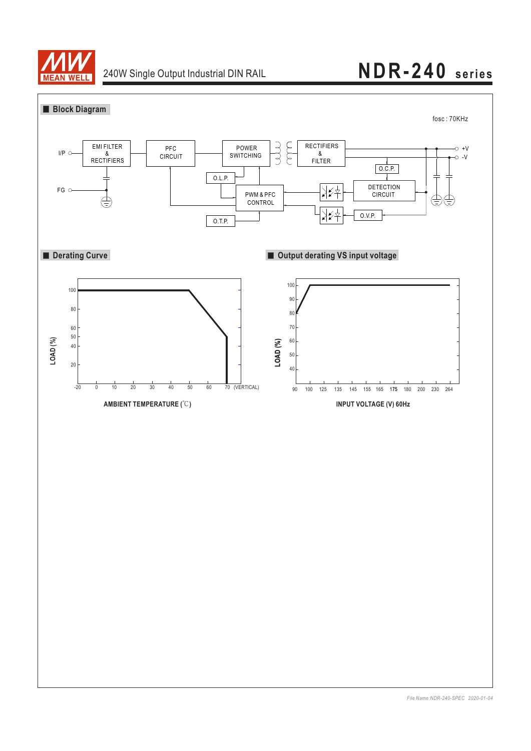

## 240W Single Output Industrial DIN RAIL **NDR-240 series**